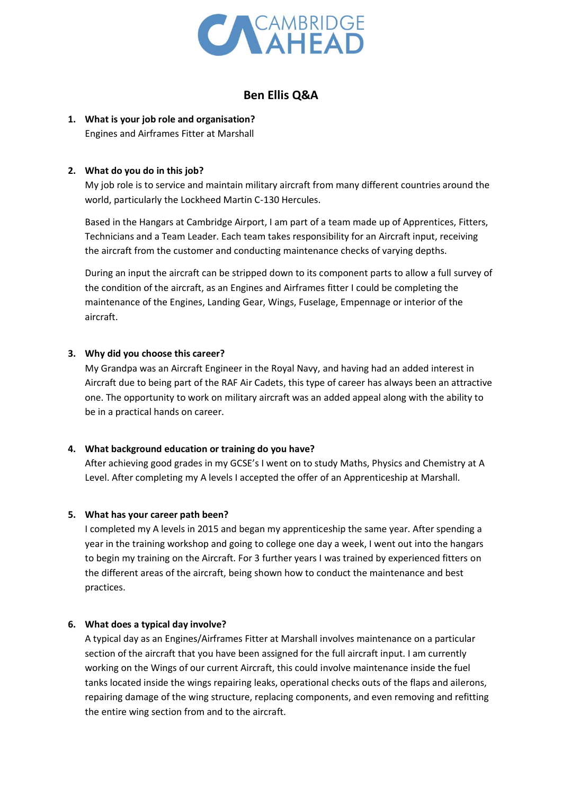

## **Ben Ellis Q&A**

# **1. What is your job role and organisation?**

Engines and Airframes Fitter at Marshall

### **2. What do you do in this job?**

My job role is to service and maintain military aircraft from many different countries around the world, particularly the Lockheed Martin C-130 Hercules.

Based in the Hangars at Cambridge Airport, I am part of a team made up of Apprentices, Fitters, Technicians and a Team Leader. Each team takes responsibility for an Aircraft input, receiving the aircraft from the customer and conducting maintenance checks of varying depths.

During an input the aircraft can be stripped down to its component parts to allow a full survey of the condition of the aircraft, as an Engines and Airframes fitter I could be completing the maintenance of the Engines, Landing Gear, Wings, Fuselage, Empennage or interior of the aircraft.

#### **3. Why did you choose this career?**

My Grandpa was an Aircraft Engineer in the Royal Navy, and having had an added interest in Aircraft due to being part of the RAF Air Cadets, this type of career has always been an attractive one. The opportunity to work on military aircraft was an added appeal along with the ability to be in a practical hands on career.

#### **4. What background education or training do you have?**

After achieving good grades in my GCSE's I went on to study Maths, Physics and Chemistry at A Level. After completing my A levels I accepted the offer of an Apprenticeship at Marshall.

#### **5. What has your career path been?**

I completed my A levels in 2015 and began my apprenticeship the same year. After spending a year in the training workshop and going to college one day a week, I went out into the hangars to begin my training on the Aircraft. For 3 further years I was trained by experienced fitters on the different areas of the aircraft, being shown how to conduct the maintenance and best practices.

#### **6. What does a typical day involve?**

A typical day as an Engines/Airframes Fitter at Marshall involves maintenance on a particular section of the aircraft that you have been assigned for the full aircraft input. I am currently working on the Wings of our current Aircraft, this could involve maintenance inside the fuel tanks located inside the wings repairing leaks, operational checks outs of the flaps and ailerons, repairing damage of the wing structure, replacing components, and even removing and refitting the entire wing section from and to the aircraft.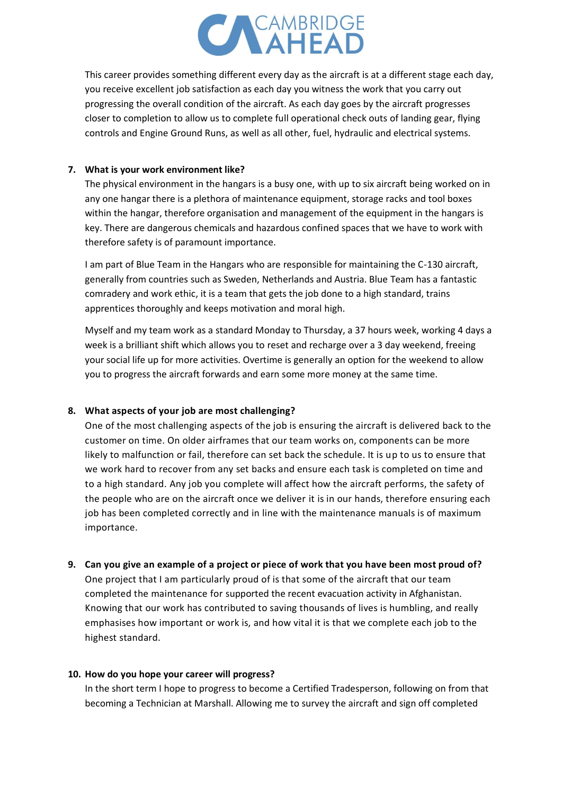

This career provides something different every day as the aircraft is at a different stage each day, you receive excellent job satisfaction as each day you witness the work that you carry out progressing the overall condition of the aircraft. As each day goes by the aircraft progresses closer to completion to allow us to complete full operational check outs of landing gear, flying controls and Engine Ground Runs, as well as all other, fuel, hydraulic and electrical systems.

#### **7. What is your work environment like?**

The physical environment in the hangars is a busy one, with up to six aircraft being worked on in any one hangar there is a plethora of maintenance equipment, storage racks and tool boxes within the hangar, therefore organisation and management of the equipment in the hangars is key. There are dangerous chemicals and hazardous confined spaces that we have to work with therefore safety is of paramount importance.

I am part of Blue Team in the Hangars who are responsible for maintaining the C-130 aircraft, generally from countries such as Sweden, Netherlands and Austria. Blue Team has a fantastic comradery and work ethic, it is a team that gets the job done to a high standard, trains apprentices thoroughly and keeps motivation and moral high.

Myself and my team work as a standard Monday to Thursday, a 37 hours week, working 4 days a week is a brilliant shift which allows you to reset and recharge over a 3 day weekend, freeing your social life up for more activities. Overtime is generally an option for the weekend to allow you to progress the aircraft forwards and earn some more money at the same time.

#### **8. What aspects of your job are most challenging?**

One of the most challenging aspects of the job is ensuring the aircraft is delivered back to the customer on time. On older airframes that our team works on, components can be more likely to malfunction or fail, therefore can set back the schedule. It is up to us to ensure that we work hard to recover from any set backs and ensure each task is completed on time and to a high standard. Any job you complete will affect how the aircraft performs, the safety of the people who are on the aircraft once we deliver it is in our hands, therefore ensuring each job has been completed correctly and in line with the maintenance manuals is of maximum importance.

**9. Can you give an example of a project or piece of work that you have been most proud of?** One project that I am particularly proud of is that some of the aircraft that our team completed the maintenance for supported the recent evacuation activity in Afghanistan. Knowing that our work has contributed to saving thousands of lives is humbling, and really emphasises how important or work is, and how vital it is that we complete each job to the highest standard.

#### **10. How do you hope your career will progress?**

In the short term I hope to progress to become a Certified Tradesperson, following on from that becoming a Technician at Marshall. Allowing me to survey the aircraft and sign off completed